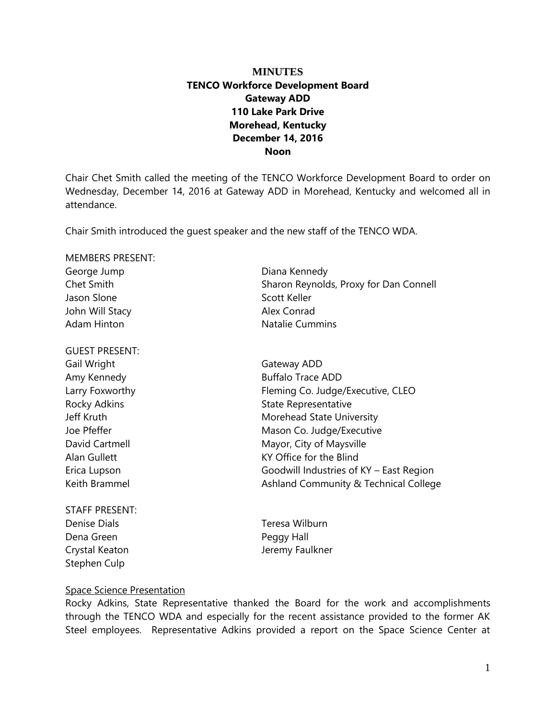# **MINUTES TENCO Workforce Development Board Gateway ADD 110 Lake Park Drive Morehead, Kentucky December 14, 2016 Noon**

Chair Chet Smith called the meeting of the TENCO Workforce Development Board to order on Wednesday, December 14, 2016 at Gateway ADD in Morehead, Kentucky and welcomed all in attendance.

Chair Smith introduced the guest speaker and the new staff of the TENCO WDA.

| <b>MEMBERS PRESENT:</b> |                                         |
|-------------------------|-----------------------------------------|
| George Jump             | Diana Kennedy                           |
| Chet Smith              | Sharon Reynolds, Proxy for Dan Connell  |
| Jason Slone             | Scott Keller                            |
| John Will Stacy         | Alex Conrad                             |
| <b>Adam Hinton</b>      | <b>Natalie Cummins</b>                  |
| <b>GUEST PRESENT:</b>   |                                         |
| Gail Wright             | Gateway ADD                             |
| Amy Kennedy             | <b>Buffalo Trace ADD</b>                |
| Larry Foxworthy         | Fleming Co. Judge/Executive, CLEO       |
| <b>Rocky Adkins</b>     | State Representative                    |
| Jeff Kruth              | Morehead State University               |
| Joe Pfeffer             | Mason Co. Judge/Executive               |
| David Cartmell          | Mayor, City of Maysville                |
| Alan Gullett            | KY Office for the Blind                 |
| Erica Lupson            | Goodwill Industries of KY - East Region |
| Keith Brammel           | Ashland Community & Technical College   |
| <b>STAFF PRESENT:</b>   |                                         |

Denise Dials Teresa Wilburn Dena Green **Peggy Hall** Stephen Culp

Crystal Keaton and Teremy Faulkner

# Space Science Presentation

Rocky Adkins, State Representative thanked the Board for the work and accomplishments through the TENCO WDA and especially for the recent assistance provided to the former AK Steel employees. Representative Adkins provided a report on the Space Science Center at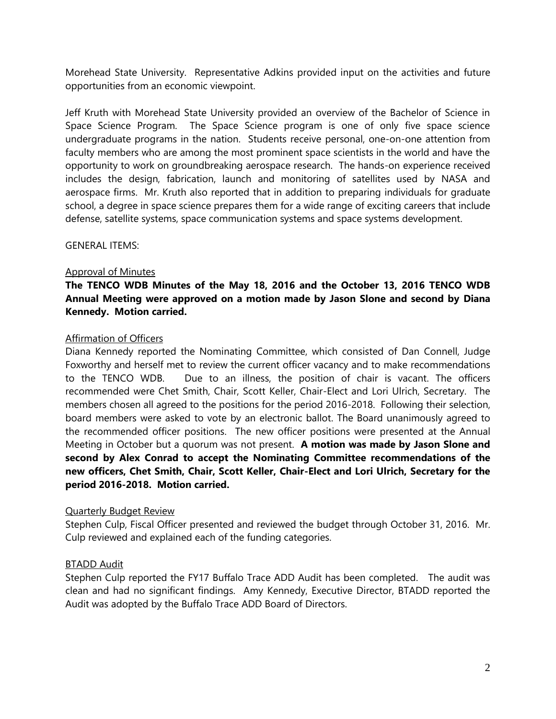Morehead State University. Representative Adkins provided input on the activities and future opportunities from an economic viewpoint.

Jeff Kruth with Morehead State University provided an overview of the Bachelor of Science in Space Science Program. The Space Science program is one of only five space science undergraduate programs in the nation. Students receive personal, one-on-one attention from faculty members who are among the most prominent space scientists in the world and have the opportunity to work on groundbreaking aerospace research. The hands-on experience received includes the design, fabrication, launch and monitoring of satellites used by NASA and aerospace firms. Mr. Kruth also reported that in addition to preparing individuals for graduate school, a degree in space science prepares them for a wide range of exciting careers that include defense, satellite systems, space communication systems and space systems development.

GENERAL ITEMS:

### Approval of Minutes

# **The TENCO WDB Minutes of the May 18, 2016 and the October 13, 2016 TENCO WDB Annual Meeting were approved on a motion made by Jason Slone and second by Diana Kennedy. Motion carried.**

## Affirmation of Officers

Diana Kennedy reported the Nominating Committee, which consisted of Dan Connell, Judge Foxworthy and herself met to review the current officer vacancy and to make recommendations to the TENCO WDB. Due to an illness, the position of chair is vacant. The officers recommended were Chet Smith, Chair, Scott Keller, Chair-Elect and Lori Ulrich, Secretary. The members chosen all agreed to the positions for the period 2016-2018. Following their selection, board members were asked to vote by an electronic ballot. The Board unanimously agreed to the recommended officer positions. The new officer positions were presented at the Annual Meeting in October but a quorum was not present. **A motion was made by Jason Slone and second by Alex Conrad to accept the Nominating Committee recommendations of the new officers, Chet Smith, Chair, Scott Keller, Chair-Elect and Lori Ulrich, Secretary for the period 2016-2018. Motion carried.**

# Quarterly Budget Review

Stephen Culp, Fiscal Officer presented and reviewed the budget through October 31, 2016. Mr. Culp reviewed and explained each of the funding categories.

# BTADD Audit

Stephen Culp reported the FY17 Buffalo Trace ADD Audit has been completed. The audit was clean and had no significant findings. Amy Kennedy, Executive Director, BTADD reported the Audit was adopted by the Buffalo Trace ADD Board of Directors.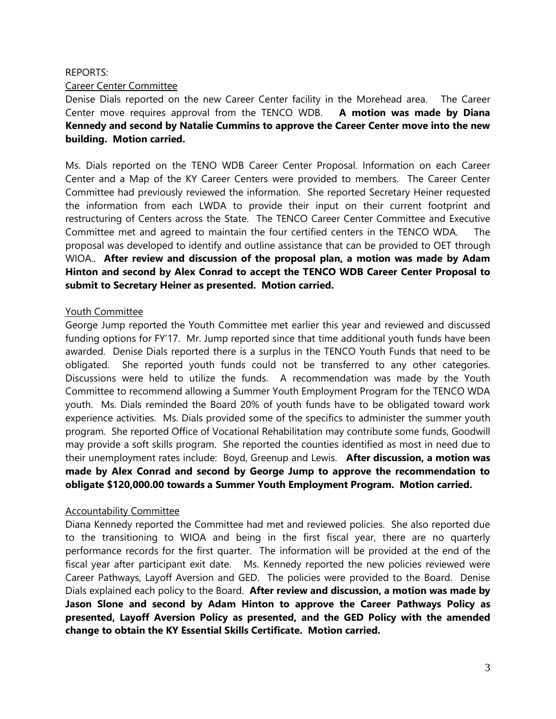## REPORTS:

## Career Center Committee

Denise Dials reported on the new Career Center facility in the Morehead area. The Career Center move requires approval from the TENCO WDB. **A motion was made by Diana Kennedy and second by Natalie Cummins to approve the Career Center move into the new building. Motion carried.** 

Ms. Dials reported on the TENO WDB Career Center Proposal. Information on each Career Center and a Map of the KY Career Centers were provided to members. The Career Center Committee had previously reviewed the information. She reported Secretary Heiner requested the information from each LWDA to provide their input on their current footprint and restructuring of Centers across the State. The TENCO Career Center Committee and Executive Committee met and agreed to maintain the four certified centers in the TENCO WDA. The proposal was developed to identify and outline assistance that can be provided to OET through WIOA.. **After review and discussion of the proposal plan, a motion was made by Adam Hinton and second by Alex Conrad to accept the TENCO WDB Career Center Proposal to submit to Secretary Heiner as presented. Motion carried.**

### Youth Committee

George Jump reported the Youth Committee met earlier this year and reviewed and discussed funding options for FY'17. Mr. Jump reported since that time additional youth funds have been awarded. Denise Dials reported there is a surplus in the TENCO Youth Funds that need to be obligated. She reported youth funds could not be transferred to any other categories. Discussions were held to utilize the funds. A recommendation was made by the Youth Committee to recommend allowing a Summer Youth Employment Program for the TENCO WDA youth. Ms. Dials reminded the Board 20% of youth funds have to be obligated toward work experience activities. Ms. Dials provided some of the specifics to administer the summer youth program. She reported Office of Vocational Rehabilitation may contribute some funds, Goodwill may provide a soft skills program. She reported the counties identified as most in need due to their unemployment rates include: Boyd, Greenup and Lewis. **After discussion, a motion was made by Alex Conrad and second by George Jump to approve the recommendation to obligate \$120,000.00 towards a Summer Youth Employment Program. Motion carried.**

# Accountability Committee

Diana Kennedy reported the Committee had met and reviewed policies. She also reported due to the transitioning to WIOA and being in the first fiscal year, there are no quarterly performance records for the first quarter. The information will be provided at the end of the fiscal year after participant exit date. Ms. Kennedy reported the new policies reviewed were Career Pathways, Layoff Aversion and GED. The policies were provided to the Board. Denise Dials explained each policy to the Board. **After review and discussion, a motion was made by Jason Slone and second by Adam Hinton to approve the Career Pathways Policy as presented, Layoff Aversion Policy as presented, and the GED Policy with the amended change to obtain the KY Essential Skills Certificate. Motion carried.**